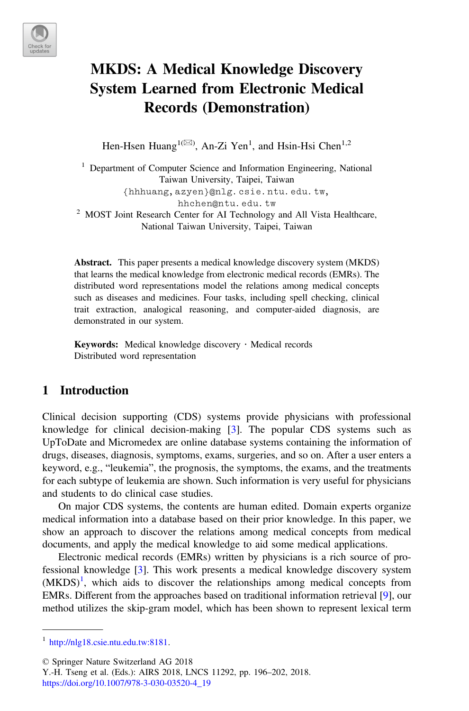

# MKDS: A Medical Knowledge Discovery System Learned from Electronic Medical Records (Demonstration)

Hen-Hsen Huang<sup>1( $\boxtimes$ )</sup>, An-Zi Yen<sup>1</sup>, and Hsin-Hsi Chen<sup>1,2</sup>

<sup>1</sup> Department of Computer Science and Information Engineering, National Taiwan University, Taipei, Taiwan {hhhuang,azyen}@nlg.csie.ntu.edu.tw,  ${\small \hbox{hchen@ntu.} edu. tw}$  2 MOST Joint Research Center for AI Technology and All Vista Healthcare,

National Taiwan University, Taipei, Taiwan

Abstract. This paper presents a medical knowledge discovery system (MKDS) that learns the medical knowledge from electronic medical records (EMRs). The distributed word representations model the relations among medical concepts such as diseases and medicines. Four tasks, including spell checking, clinical trait extraction, analogical reasoning, and computer-aided diagnosis, are demonstrated in our system.

Keywords: Medical knowledge discovery · Medical records Distributed word representation

# 1 Introduction

Clinical decision supporting (CDS) systems provide physicians with professional knowledge for clinical decision-making  $\lceil 3 \rceil$  $\lceil 3 \rceil$  $\lceil 3 \rceil$ . The popular CDS systems such as UpToDate and Micromedex are online database systems containing the information of drugs, diseases, diagnosis, symptoms, exams, surgeries, and so on. After a user enters a keyword, e.g., "leukemia", the prognosis, the symptoms, the exams, and the treatments for each subtype of leukemia are shown. Such information is very useful for physicians and students to do clinical case studies.

On major CDS systems, the contents are human edited. Domain experts organize medical information into a database based on their prior knowledge. In this paper, we show an approach to discover the relations among medical concepts from medical documents, and apply the medical knowledge to aid some medical applications.

Electronic medical records (EMRs) written by physicians is a rich source of professional knowledge [\[3](#page-5-0)]. This work presents a medical knowledge discovery system  $(MKDS)^1$ , which aids to discover the relationships among medical concepts from EMRs. Different from the approaches based on traditional information retrieval [\[9](#page-5-0)], our method utilizes the skip-gram model, which has been shown to represent lexical term

© Springer Nature Switzerland AG 2018

Y.-H. Tseng et al. (Eds.): AIRS 2018, LNCS 11292, pp. 196–202, 2018. [https://doi.org/10.1007/978-3-030-03520-4\\_19](https://doi.org/10.1007/978-3-030-03520-4_19)

<sup>1</sup> <http://nlg18.csie.ntu.edu.tw:8181>.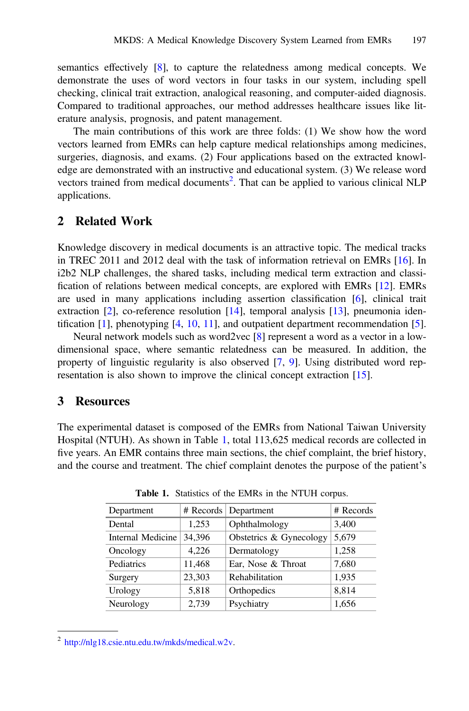semantics effectively [\[8](#page-5-0)], to capture the relatedness among medical concepts. We demonstrate the uses of word vectors in four tasks in our system, including spell checking, clinical trait extraction, analogical reasoning, and computer-aided diagnosis. Compared to traditional approaches, our method addresses healthcare issues like literature analysis, prognosis, and patent management.

The main contributions of this work are three folds: (1) We show how the word vectors learned from EMRs can help capture medical relationships among medicines, surgeries, diagnosis, and exams. (2) Four applications based on the extracted knowledge are demonstrated with an instructive and educational system. (3) We release word vectors trained from medical documents<sup>2</sup>. That can be applied to various clinical NLP applications.

### 2 Related Work

Knowledge discovery in medical documents is an attractive topic. The medical tracks in TREC 2011 and 2012 deal with the task of information retrieval on EMRs [[16\]](#page-6-0). In i2b2 NLP challenges, the shared tasks, including medical term extraction and classification of relations between medical concepts, are explored with EMRs [\[12](#page-5-0)]. EMRs are used in many applications including assertion classification [\[6](#page-5-0)], clinical trait extraction [\[2](#page-5-0)], co-reference resolution [\[14](#page-6-0)], temporal analysis [[13\]](#page-6-0), pneumonia identification [\[1](#page-5-0)], phenotyping [[4,](#page-5-0) [10](#page-5-0), [11\]](#page-5-0), and outpatient department recommendation [[5\]](#page-5-0).

Neural network models such as word2vec [[8\]](#page-5-0) represent a word as a vector in a lowdimensional space, where semantic relatedness can be measured. In addition, the property of linguistic regularity is also observed [[7,](#page-5-0) [9](#page-5-0)]. Using distributed word representation is also shown to improve the clinical concept extraction [[15\]](#page-6-0).

### 3 Resources

The experimental dataset is composed of the EMRs from National Taiwan University Hospital (NTUH). As shown in Table 1, total 113,625 medical records are collected in five years. An EMR contains three main sections, the chief complaint, the brief history, and the course and treatment. The chief complaint denotes the purpose of the patient's

| Department        |        | # Records   Department  | # Records |
|-------------------|--------|-------------------------|-----------|
| Dental            | 1,253  | Ophthalmology           | 3,400     |
| Internal Medicine | 34,396 | Obstetrics & Gynecology | 5,679     |
| Oncology          | 4,226  | Dermatology             | 1,258     |
| Pediatrics        | 11,468 | Ear, Nose & Throat      | 7,680     |
| Surgery           | 23,303 | Rehabilitation          | 1,935     |
| Urology           | 5,818  | Orthopedics             | 8,814     |
| Neurology         | 2,739  | Psychiatry              | 1,656     |

Table 1. Statistics of the EMRs in the NTUH corpus.

<sup>2</sup> <http://nlg18.csie.ntu.edu.tw/mkds/medical.w2v>.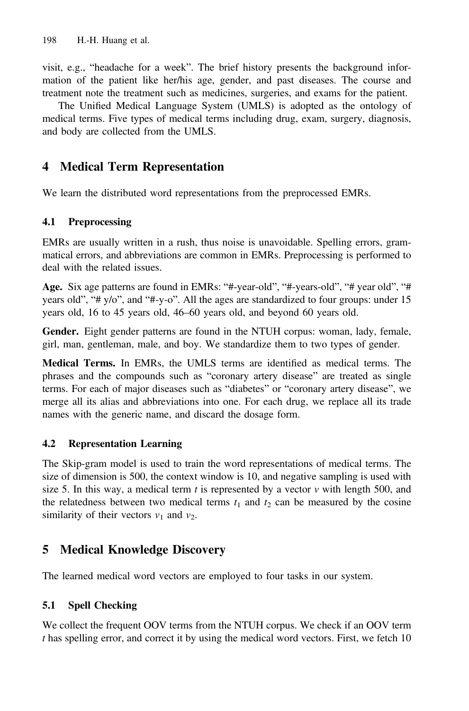visit, e.g., "headache for a week". The brief history presents the background information of the patient like her/his age, gender, and past diseases. The course and treatment note the treatment such as medicines, surgeries, and exams for the patient.

The Unified Medical Language System (UMLS) is adopted as the ontology of medical terms. Five types of medical terms including drug, exam, surgery, diagnosis, and body are collected from the UMLS.

### 4 Medical Term Representation

We learn the distributed word representations from the preprocessed EMRs.

### 4.1 Preprocessing

EMRs are usually written in a rush, thus noise is unavoidable. Spelling errors, grammatical errors, and abbreviations are common in EMRs. Preprocessing is performed to deal with the related issues.

Age. Six age patterns are found in EMRs: "#-year-old", "#-years-old", "# year old", "# years old", "# y/o", and "#-y-o". All the ages are standardized to four groups: under 15 years old, 16 to 45 years old, 46–60 years old, and beyond 60 years old.

Gender. Eight gender patterns are found in the NTUH corpus: woman, lady, female, girl, man, gentleman, male, and boy. We standardize them to two types of gender.

Medical Terms. In EMRs, the UMLS terms are identified as medical terms. The phrases and the compounds such as "coronary artery disease" are treated as single terms. For each of major diseases such as "diabetes" or "coronary artery disease", we merge all its alias and abbreviations into one. For each drug, we replace all its trade names with the generic name, and discard the dosage form.

### 4.2 Representation Learning

The Skip-gram model is used to train the word representations of medical terms. The size of dimension is 500, the context window is 10, and negative sampling is used with size 5. In this way, a medical term  $t$  is represented by a vector  $v$  with length 500, and the relatedness between two medical terms  $t_1$  and  $t_2$  can be measured by the cosine similarity of their vectors  $v_1$  and  $v_2$ .

# 5 Medical Knowledge Discovery

The learned medical word vectors are employed to four tasks in our system.

### 5.1 Spell Checking

We collect the frequent OOV terms from the NTUH corpus. We check if an OOV term t has spelling error, and correct it by using the medical word vectors. First, we fetch 10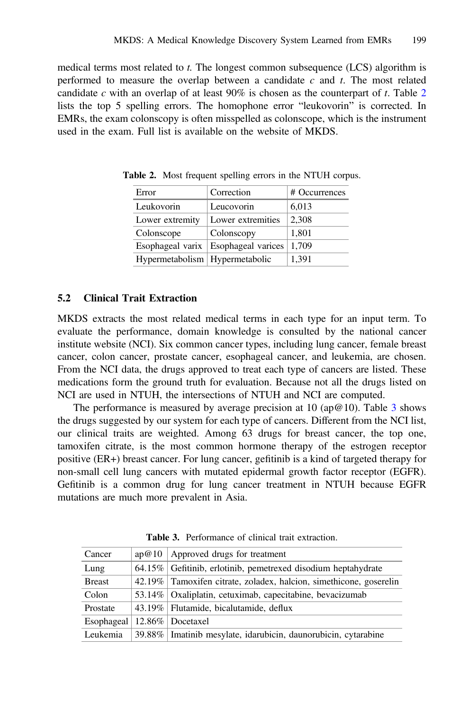<span id="page-3-0"></span>medical terms most related to t. The longest common subsequence (LCS) algorithm is performed to measure the overlap between a candidate  $c$  and  $t$ . The most related candidate c with an overlap of at least  $90\%$  is chosen as the counterpart of t. Table 2 lists the top 5 spelling errors. The homophone error "leukovorin" is corrected. In EMRs, the exam colonscopy is often misspelled as colonscope, which is the instrument used in the exam. Full list is available on the website of MKDS.

| Error                            | Correction         | # Occurrences |
|----------------------------------|--------------------|---------------|
| Leukovorin                       | Leucovorin         | 6,013         |
| Lower extremity                  | Lower extremities  | 2,308         |
| Colonscope                       | Colonscopy         | 1,801         |
| Esophageal varix                 | Esophageal varices | 1,709         |
| Hypermetabolism   Hypermetabolic |                    | 1,391         |

Table 2. Most frequent spelling errors in the NTUH corpus.

#### 5.2 Clinical Trait Extraction

MKDS extracts the most related medical terms in each type for an input term. To evaluate the performance, domain knowledge is consulted by the national cancer institute website (NCI). Six common cancer types, including lung cancer, female breast cancer, colon cancer, prostate cancer, esophageal cancer, and leukemia, are chosen. From the NCI data, the drugs approved to treat each type of cancers are listed. These medications form the ground truth for evaluation. Because not all the drugs listed on NCI are used in NTUH, the intersections of NTUH and NCI are computed.

The performance is measured by average precision at 10 (ap@10). Table  $3$  shows the drugs suggested by our system for each type of cancers. Different from the NCI list, our clinical traits are weighted. Among 63 drugs for breast cancer, the top one, tamoxifen citrate, is the most common hormone therapy of the estrogen receptor positive (ER+) breast cancer. For lung cancer, gefitinib is a kind of targeted therapy for non-small cell lung cancers with mutated epidermal growth factor receptor (EGFR). Gefitinib is a common drug for lung cancer treatment in NTUH because EGFR mutations are much more prevalent in Asia.

| Cancer                          | $ap@10$   Approved drugs for treatment                             |
|---------------------------------|--------------------------------------------------------------------|
| Lung                            | 64.15% Gefitinib, erlotinib, pemetrexed disodium heptahydrate      |
| <b>Breast</b>                   | 42.19% Tamoxifen citrate, zoladex, halcion, simethicone, goserelin |
| Colon                           | 53.14%   Oxaliplatin, cetuximab, capecitabine, bevacizumab         |
| Prostate                        | 43.19%   Flutamide, bicalutamide, deflux                           |
| Esophageal   12.86%   Docetaxel |                                                                    |
| Leukemia                        | 39.88%   Imatinib mesylate, idarubicin, daunorubicin, cytarabine   |

Table 3. Performance of clinical trait extraction.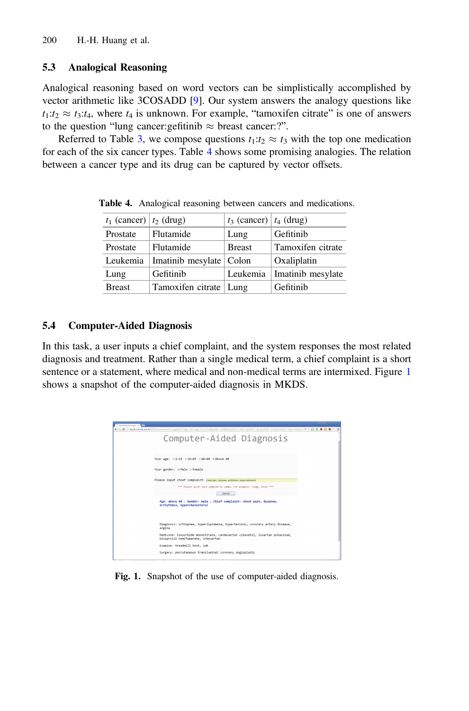### 5.3 Analogical Reasoning

Analogical reasoning based on word vectors can be simplistically accomplished by vector arithmetic like 3COSADD [\[9](#page-5-0)]. Our system answers the analogy questions like  $t_1:t_2 \approx t_3:t_4$ , where  $t_4$  is unknown. For example, "tamoxifen citrate" is one of answers to the question "lung cancer: gefitinib  $\approx$  breast cancer: ?".

Referred to Table [3,](#page-3-0) we compose questions  $t_1:t_2 \approx t_3$  with the top one medication for each of the six cancer types. Table 4 shows some promising analogies. The relation between a cancer type and its drug can be captured by vector offsets.

| $t_1$ (cancer) $t_2$ (drug) |                           | $t_3$ (cancer) $t_4$ (drug) |                   |
|-----------------------------|---------------------------|-----------------------------|-------------------|
| Prostate                    | Flutamide                 | Lung                        | Gefitinib         |
| Prostate                    | Flutamide                 | <b>Breast</b>               | Tamoxifen citrate |
| Leukemia                    | Imatinib mesylate   Colon |                             | Oxaliplatin       |
| Lung                        | Gefitinib                 | Leukemia                    | Imatinib mesylate |
| <b>Breast</b>               | Tamoxifen citrate   Lung  |                             | Gefitinib         |

Table 4. Analogical reasoning between cancers and medications.

#### 5.4 Computer-Aided Diagnosis

In this task, a user inputs a chief complaint, and the system responses the most related diagnosis and treatment. Rather than a single medical term, a chief complaint is a short sentence or a statement, where medical and non-medical terms are intermixed. Figure 1 shows a snapshot of the computer-aided diagnosis in MKDS.

| The Decod Devision Summer 10 No.<br>C D régiscole résultant listificame search suggestion/lage class-age class fourteamder=maletommators=chest+pain%2C+dyspreat%2C+amhythmia%2C+hypercholesterc@ C ED O | Hermann and China and<br>$\sim$ 5 |
|---------------------------------------------------------------------------------------------------------------------------------------------------------------------------------------------------------|-----------------------------------|
| Computer-Aided Diagnosis                                                                                                                                                                                |                                   |
| Your age: 01~15 016~45 046~60 *Above 60                                                                                                                                                                 |                                   |
| Your gender: #Male @Female                                                                                                                                                                              |                                   |
| Please input chief complaint: chestpan, dyspnea, antathraa, hypecholesterol                                                                                                                             |                                   |
| *** Please split each symptom by comma. For example: cough, fever ***                                                                                                                                   |                                   |
| Submit<br>Age: above 60 . Gender: male , Chief complaint: chest pain, dyspnea,<br>arrhythmia, hypercholesterol                                                                                          |                                   |
| Diagnosis: orthopnea, hyperlipidemia, hypertension, coronary artery disease,<br>angina                                                                                                                  |                                   |
| Medicine: isosorbide mononitrate, candesartan cilexetil, losartan potassium,<br>bisoprolol hemifumarate, irbesartan                                                                                     |                                   |
| Examine: treadmill test, sob                                                                                                                                                                            |                                   |
| Surgery: percutaneous transluminal coronary angioplasty                                                                                                                                                 |                                   |

Fig. 1. Snapshot of the use of computer-aided diagnosis.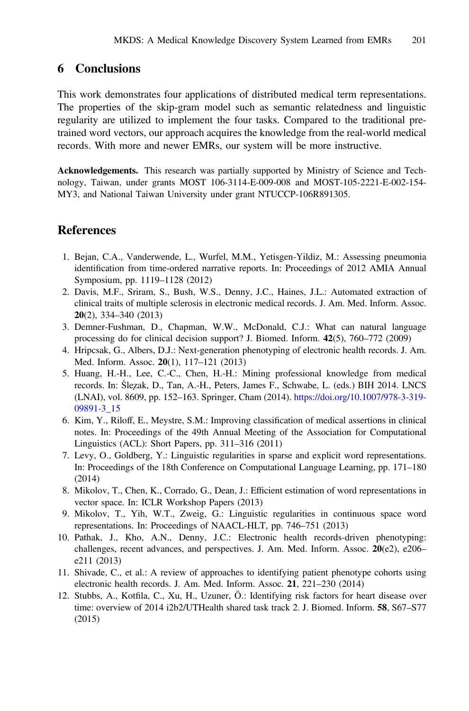### <span id="page-5-0"></span>6 Conclusions

This work demonstrates four applications of distributed medical term representations. The properties of the skip-gram model such as semantic relatedness and linguistic regularity are utilized to implement the four tasks. Compared to the traditional pretrained word vectors, our approach acquires the knowledge from the real-world medical records. With more and newer EMRs, our system will be more instructive.

Acknowledgements. This research was partially supported by Ministry of Science and Technology, Taiwan, under grants MOST 106-3114-E-009-008 and MOST-105-2221-E-002-154- MY3, and National Taiwan University under grant NTUCCP-106R891305.

### References

- 1. Bejan, C.A., Vanderwende, L., Wurfel, M.M., Yetisgen-Yildiz, M.: Assessing pneumonia identification from time-ordered narrative reports. In: Proceedings of 2012 AMIA Annual Symposium, pp. 1119–1128 (2012)
- 2. Davis, M.F., Sriram, S., Bush, W.S., Denny, J.C., Haines, J.L.: Automated extraction of clinical traits of multiple sclerosis in electronic medical records. J. Am. Med. Inform. Assoc. 20(2), 334–340 (2013)
- 3. Demner-Fushman, D., Chapman, W.W., McDonald, C.J.: What can natural language processing do for clinical decision support? J. Biomed. Inform. 42(5), 760–772 (2009)
- 4. Hripcsak, G., Albers, D.J.: Next-generation phenotyping of electronic health records. J. Am. Med. Inform. Assoc. 20(1), 117–121 (2013)
- 5. Huang, H.-H., Lee, C.-C., Chen, H.-H.: Mining professional knowledge from medical records. In: Ślȩzak, D., Tan, A.-H., Peters, James F., Schwabe, L. (eds.) BIH 2014. LNCS (LNAI), vol. 8609, pp. 152–163. Springer, Cham (2014). [https://doi.org/10.1007/978-3-319-](http://dx.doi.org/10.1007/978-3-319-09891-3_15) [09891-3\\_15](http://dx.doi.org/10.1007/978-3-319-09891-3_15)
- 6. Kim, Y., Riloff, E., Meystre, S.M.: Improving classification of medical assertions in clinical notes. In: Proceedings of the 49th Annual Meeting of the Association for Computational Linguistics (ACL): Short Papers, pp. 311–316 (2011)
- 7. Levy, O., Goldberg, Y.: Linguistic regularities in sparse and explicit word representations. In: Proceedings of the 18th Conference on Computational Language Learning, pp. 171–180 (2014)
- 8. Mikolov, T., Chen, K., Corrado, G., Dean, J.: Efficient estimation of word representations in vector space. In: ICLR Workshop Papers (2013)
- 9. Mikolov, T., Yih, W.T., Zweig, G.: Linguistic regularities in continuous space word representations. In: Proceedings of NAACL-HLT, pp. 746–751 (2013)
- 10. Pathak, J., Kho, A.N., Denny, J.C.: Electronic health records-driven phenotyping: challenges, recent advances, and perspectives. J. Am. Med. Inform. Assoc.  $20(e^2)$ , e $206$ e211 (2013)
- 11. Shivade, C., et al.: A review of approaches to identifying patient phenotype cohorts using electronic health records. J. Am. Med. Inform. Assoc. 21, 221–230 (2014)
- 12. Stubbs, A., Kotfila, C., Xu, H., Uzuner, Ö.: Identifying risk factors for heart disease over time: overview of 2014 i2b2/UTHealth shared task track 2. J. Biomed. Inform. **58**, S67–S77 (2015)